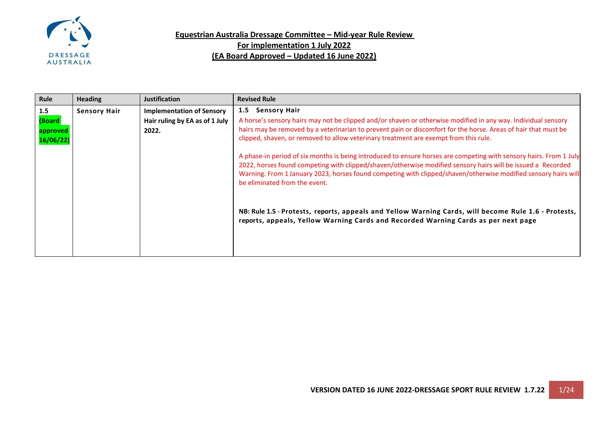

**Equestrian Australia Dressage Committee – Mid-year Rule Review For implementation 1 July 2022**

**(EA Board Approved – Updated 16 June 2022)**

| Rule     | <b>Heading</b>      | <b>Justification</b>             | <b>Revised Rule</b>                                                                                                                                                                                                                                                                                                                                                                  |
|----------|---------------------|----------------------------------|--------------------------------------------------------------------------------------------------------------------------------------------------------------------------------------------------------------------------------------------------------------------------------------------------------------------------------------------------------------------------------------|
| 1.5      | <b>Sensory Hair</b> | <b>Implementation of Sensory</b> | 1.5 Sensory Hair                                                                                                                                                                                                                                                                                                                                                                     |
| (Board   |                     | Hair ruling by EA as of 1 July   | A horse's sensory hairs may not be clipped and/or shaven or otherwise modified in any way. Individual sensory                                                                                                                                                                                                                                                                        |
| approved |                     | 2022.                            | hairs may be removed by a veterinarian to prevent pain or discomfort for the horse. Areas of hair that must be                                                                                                                                                                                                                                                                       |
| 16/06/22 |                     |                                  | clipped, shaven, or removed to allow veterinary treatment are exempt from this rule.                                                                                                                                                                                                                                                                                                 |
|          |                     |                                  | A phase-in period of six months is being introduced to ensure horses are competing with sensory hairs. From 1 July<br>2022, horses found competing with clipped/shaven/otherwise modified sensory hairs will be issued a Recorded<br>Warning. From 1 January 2023, horses found competing with clipped/shaven/otherwise modified sensory hairs will<br>be eliminated from the event. |
|          |                     |                                  | NB: Rule 1.5 - Protests, reports, appeals and Yellow Warning Cards, will become Rule 1.6 - Protests,<br>reports, appeals, Yellow Warning Cards and Recorded Warning Cards as per next page                                                                                                                                                                                           |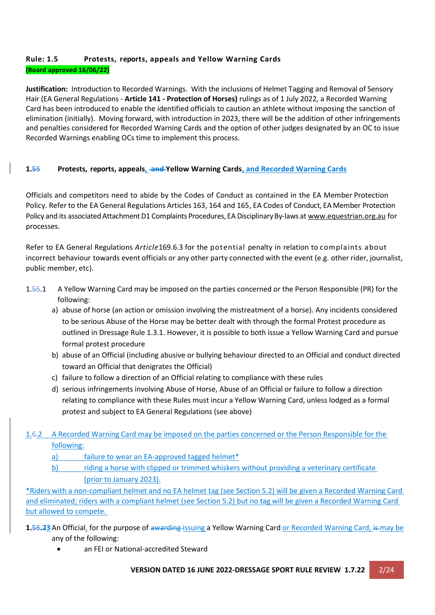# **Rule: 1.5 Protests, reports, appeals and Yellow Warning Cards (Board approved 16/06/22)**

**Justification:** Introduction to Recorded Warnings. With the inclusions of Helmet Tagging and Removal of Sensory Hair (EA General Regulations - **Article 141 - Protection of Horses)** rulings as of 1 July 2022, a Recorded Warning Card has been introduced to enable the identified officials to caution an athlete without imposing the sanction of elimination (initially). Moving forward, with introduction in 2023, there will be the addition of other infringements and penalties considered for Recorded Warning Cards and the option of other judges designated by an OC to issue Recorded Warnings enabling OCs time to implement this process.

# **1.56 Protests, reports, appeals, and Yellow Warning Cards, and Recorded Warning Cards**

Officials and competitors need to abide by the Codes of Conduct as contained in the EA Member Protection Policy. Refer to the EA General Regulations Articles 163, 164 and 165, EA Codes of Conduct, EA Member Protection Policy and its associated Attachment D1 Complaints Procedures, EA Disciplinary By-laws a[t www.equestrian.org.au](http://www.equestrian.org.au/) for processes.

Refer to EA General Regulations *Article*169.6.3 for the potential penalty in relation to complaints about incorrect behaviour towards event officials or any other party connected with the event (e.g. other rider, journalist, public member, etc).

- 1.56.1 A Yellow Warning Card may be imposed on the parties concerned or the Person Responsible (PR) for the following:
	- a) abuse of horse (an action or omission involving the mistreatment of a horse). Any incidents considered to be serious Abuse of the Horse may be better dealt with through the formal Protest procedure as outlined in Dressage Rule 1.3.1. However, it is possible to both issue a Yellow Warning Card and pursue formal protest procedure
	- b) abuse of an Official (including abusive or bullying behaviour directed to an Official and conduct directed toward an Official that denigrates the Official)
	- c) failure to follow a direction of an Official relating to compliance with these rules
	- d) serious infringements involving Abuse of Horse, Abuse of an Official or failure to follow a direction relating to compliance with these Rules must incur a Yellow Warning Card, unless lodged as a formal protest and subject to EA General Regulations (see above)
- 1.6.2 A Recorded Warning Card may be imposed on the parties concerned or the Person Responsible for the following:
	- a) failure to wear an EA-approved tagged helmet<sup>\*</sup>
	- b) riding a horse with clipped or trimmed whiskers without providing a veterinary certificate (prior to January 2023).

\*Riders with a non-compliant helmet and no EA helmet tag (see Section 5.2) will be given a Recorded Warning Card and eliminated; riders with a compliant helmet (see Section 5.2) but no tag will be given a Recorded Warning Card but allowed to compete.

- **1.56.23** An Official, for the purpose of awarding issuing a Yellow Warning Card or Recorded Warning Card, is may be any of the following:
	- an FEI or National-accredited Steward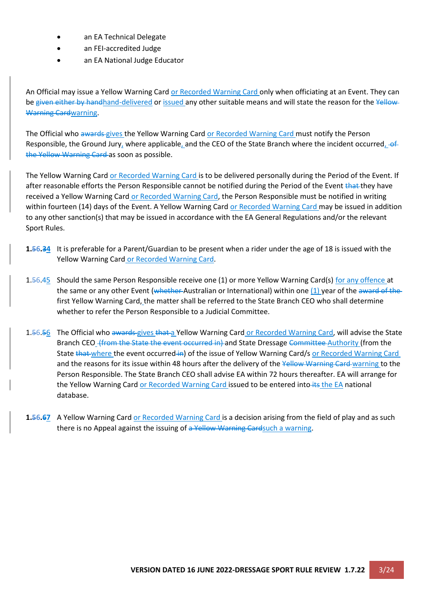- an EA Technical Delegate
- an FEI-accredited Judge
- an EA National Judge Educator

An Official may issue a Yellow Warning Card or Recorded Warning Card only when officiating at an Event. They can be given either by handhand-delivered or issued any other suitable means and will state the reason for the Yellow-Warning Cardwarning.

The Official who awards gives the Yellow Warning Card or Recorded Warning Card must notify the Person Responsible, the Ground Jury, where applicable, and the CEO of the State Branch where the incident occurred,  $-$ ofthe Yellow Warning Card as soon as possible.

The Yellow Warning Card or Recorded Warning Card is to be delivered personally during the Period of the Event. If after reasonable efforts the Person Responsible cannot be notified during the Period of the Event that they have received a Yellow Warning Card or Recorded Warning Card, the Person Responsible must be notified in writing within fourteen (14) days of the Event. A Yellow Warning Card or Recorded Warning Card may be issued in addition to any other sanction(s) that may be issued in accordance with the EA General Regulations and/or the relevant Sport Rules.

- **1.56.34** It is preferable for a Parent/Guardian to be present when a rider under the age of 18 is issued with the Yellow Warning Card or Recorded Warning Card.
- 1.56.45 Should the same Person Responsible receive one (1) or more Yellow Warning Card(s) for any offence at the same or any other Event (whether Australian or International) within one (1) year of the award of the first Yellow Warning Card, the matter shall be referred to the State Branch CEO who shall determine whether to refer the Person Responsible to a Judicial Committee.
- 1.56.56 The Official who awards gives that a Yellow Warning Card or Recorded Warning Card, will advise the State Branch CEO (from the State the event occurred in) and State Dressage Committee Authority (from the State that where the event occurred in) of the issue of Yellow Warning Card/s or Recorded Warning Card and the reasons for its issue within 48 hours after the delivery of the Yellow Warning Card warning to the Person Responsible. The State Branch CEO shall advise EA within 72 hours thereafter. EA will arrange for the Yellow Warning Card or Recorded Warning Card issued to be entered into its the EA national database.
- **1.56.67** A Yellow Warning Card or Recorded Warning Card is a decision arising from the field of play and as such there is no Appeal against the issuing of a Yellow Warning Cardsuch a warning.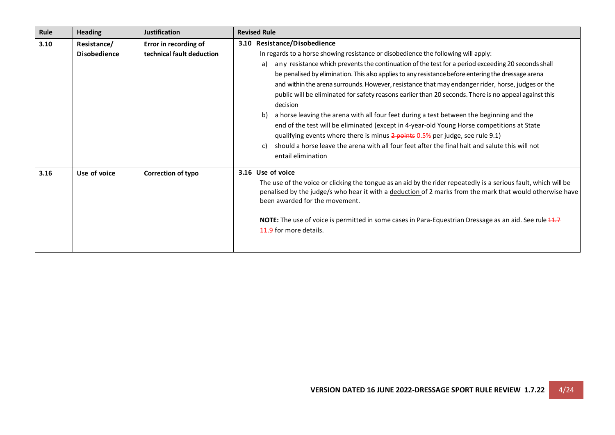| Rule | <b>Heading</b>      | <b>Justification</b>      | <b>Revised Rule</b>                                                                                                                                                                                                                                                                                                                                                                                                                                                                                                                                                                                                                                                                                                                                                                                                                                                                                                                             |
|------|---------------------|---------------------------|-------------------------------------------------------------------------------------------------------------------------------------------------------------------------------------------------------------------------------------------------------------------------------------------------------------------------------------------------------------------------------------------------------------------------------------------------------------------------------------------------------------------------------------------------------------------------------------------------------------------------------------------------------------------------------------------------------------------------------------------------------------------------------------------------------------------------------------------------------------------------------------------------------------------------------------------------|
| 3.10 | Resistance/         | Error in recording of     | 3.10 Resistance/Disobedience                                                                                                                                                                                                                                                                                                                                                                                                                                                                                                                                                                                                                                                                                                                                                                                                                                                                                                                    |
|      | <b>Disobedience</b> | technical fault deduction | In regards to a horse showing resistance or disobedience the following will apply:<br>any resistance which prevents the continuation of the test for a period exceeding 20 seconds shall<br>a)<br>be penalised by elimination. This also applies to any resistance before entering the dressage arena<br>and within the arena surrounds. However, resistance that may endanger rider, horse, judges or the<br>public will be eliminated for safety reasons earlier than 20 seconds. There is no appeal against this<br>decision<br>b)<br>a horse leaving the arena with all four feet during a test between the beginning and the<br>end of the test will be eliminated (except in 4-year-old Young Horse competitions at State<br>qualifying events where there is minus 2 points 0.5% per judge, see rule 9.1)<br>should a horse leave the arena with all four feet after the final halt and salute this will not<br>c)<br>entail elimination |
| 3.16 | Use of voice        | Correction of typo        | 3.16 Use of voice<br>The use of the voice or clicking the tongue as an aid by the rider repeatedly is a serious fault, which will be<br>penalised by the judge/s who hear it with a deduction of 2 marks from the mark that would otherwise have<br>been awarded for the movement.<br>NOTE: The use of voice is permitted in some cases in Para-Equestrian Dressage as an aid. See rule 44.7<br>11.9 for more details.                                                                                                                                                                                                                                                                                                                                                                                                                                                                                                                          |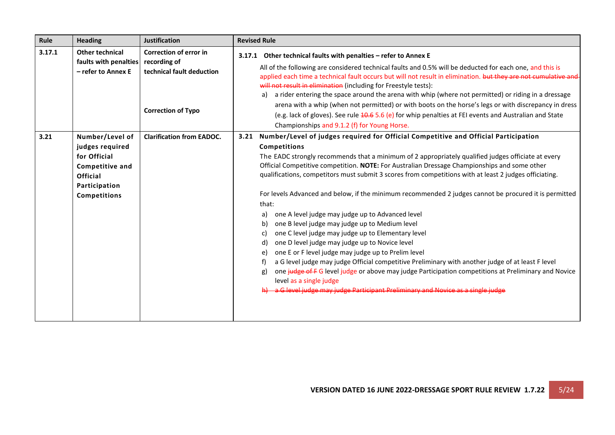| Rule   | <b>Heading</b>                                                        | <b>Justification</b>                      | <b>Revised Rule</b>                                                                                                                                                                                                                                                                                                                                                                                                                                                                                                                                                                                                                                                                                                                                        |
|--------|-----------------------------------------------------------------------|-------------------------------------------|------------------------------------------------------------------------------------------------------------------------------------------------------------------------------------------------------------------------------------------------------------------------------------------------------------------------------------------------------------------------------------------------------------------------------------------------------------------------------------------------------------------------------------------------------------------------------------------------------------------------------------------------------------------------------------------------------------------------------------------------------------|
| 3.17.1 | <b>Other technical</b><br>faults with penalties<br>- refer to Annex E | <b>Correction of error in</b>             | 3.17.1 Other technical faults with penalties - refer to Annex E                                                                                                                                                                                                                                                                                                                                                                                                                                                                                                                                                                                                                                                                                            |
|        |                                                                       | recording of<br>technical fault deduction | All of the following are considered technical faults and 0.5% will be deducted for each one, and this is<br>applied each time a technical fault occurs but will not result in elimination. but they are not cumulative and<br>will not result in elimination (including for Freestyle tests):                                                                                                                                                                                                                                                                                                                                                                                                                                                              |
|        |                                                                       | <b>Correction of Typo</b>                 | a) a rider entering the space around the arena with whip (where not permitted) or riding in a dressage<br>arena with a whip (when not permitted) or with boots on the horse's legs or with discrepancy in dress<br>(e.g. lack of gloves). See rule 10.6 5.6 (e) for whip penalties at FEI events and Australian and State<br>Championships and 9.1.2 (f) for Young Horse.                                                                                                                                                                                                                                                                                                                                                                                  |
| 3.21   | Number/Level of                                                       | <b>Clarification from EADOC.</b>          | Number/Level of judges required for Official Competitive and Official Participation<br>3.21                                                                                                                                                                                                                                                                                                                                                                                                                                                                                                                                                                                                                                                                |
|        | judges required                                                       |                                           | <b>Competitions</b>                                                                                                                                                                                                                                                                                                                                                                                                                                                                                                                                                                                                                                                                                                                                        |
|        | for Official                                                          |                                           | The EADC strongly recommends that a minimum of 2 appropriately qualified judges officiate at every                                                                                                                                                                                                                                                                                                                                                                                                                                                                                                                                                                                                                                                         |
|        | Competitive and                                                       |                                           | Official Competitive competition. NOTE: For Australian Dressage Championships and some other                                                                                                                                                                                                                                                                                                                                                                                                                                                                                                                                                                                                                                                               |
|        | <b>Official</b>                                                       |                                           | qualifications, competitors must submit 3 scores from competitions with at least 2 judges officiating.                                                                                                                                                                                                                                                                                                                                                                                                                                                                                                                                                                                                                                                     |
|        | Participation<br>Competitions                                         |                                           | For levels Advanced and below, if the minimum recommended 2 judges cannot be procured it is permitted<br>that:<br>one A level judge may judge up to Advanced level<br>a)<br>one B level judge may judge up to Medium level<br>b)<br>one C level judge may judge up to Elementary level<br>C)<br>one D level judge may judge up to Novice level<br>d)<br>one E or F level judge may judge up to Prelim level<br>e)<br>a G level judge may judge Official competitive Preliminary with another judge of at least F level<br>f)<br>one judge of F G level judge or above may judge Participation competitions at Preliminary and Novice<br>g)<br>level as a single judge<br>h) a G level judge may judge Participant Preliminary and Novice as a single judge |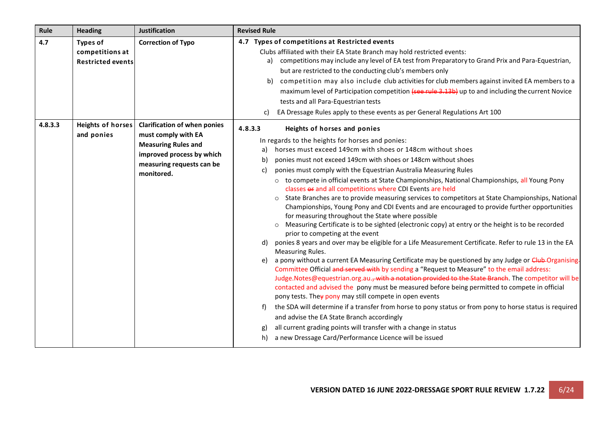| Rule    | <b>Heading</b>                                          | <b>Justification</b>                                                                                                                                             | <b>Revised Rule</b>                                                                                                                                                                                                                                                                                                                                                                                                                                                                                                                                                                                                                                                                                                                                                                                                                                                                                                                                                                                                                                                                                                                                                                                                                                                                                                                                                                                                                                                                                                                                                                                                                                                                                                                                                                                                          |
|---------|---------------------------------------------------------|------------------------------------------------------------------------------------------------------------------------------------------------------------------|------------------------------------------------------------------------------------------------------------------------------------------------------------------------------------------------------------------------------------------------------------------------------------------------------------------------------------------------------------------------------------------------------------------------------------------------------------------------------------------------------------------------------------------------------------------------------------------------------------------------------------------------------------------------------------------------------------------------------------------------------------------------------------------------------------------------------------------------------------------------------------------------------------------------------------------------------------------------------------------------------------------------------------------------------------------------------------------------------------------------------------------------------------------------------------------------------------------------------------------------------------------------------------------------------------------------------------------------------------------------------------------------------------------------------------------------------------------------------------------------------------------------------------------------------------------------------------------------------------------------------------------------------------------------------------------------------------------------------------------------------------------------------------------------------------------------------|
| 4.7     | Types of<br>competitions at<br><b>Restricted events</b> | <b>Correction of Typo</b>                                                                                                                                        | 4.7 Types of competitions at Restricted events<br>Clubs affiliated with their EA State Branch may hold restricted events:<br>competitions may include any level of EA test from Preparatory to Grand Prix and Para-Equestrian,<br>a)<br>but are restricted to the conducting club's members only<br>b)<br>competition may also include club activities for club members against invited EA members to a<br>maximum level of Participation competition (see rule 3.13b) up to and including the current Novice<br>tests and all Para-Equestrian tests<br>EA Dressage Rules apply to these events as per General Regulations Art 100<br>C)                                                                                                                                                                                                                                                                                                                                                                                                                                                                                                                                                                                                                                                                                                                                                                                                                                                                                                                                                                                                                                                                                                                                                                                     |
| 4.8.3.3 | <b>Heights of horses</b><br>and ponies                  | <b>Clarification of when ponies</b><br>must comply with EA<br><b>Measuring Rules and</b><br>improved process by which<br>measuring requests can be<br>monitored. | 4.8.3.3<br>Heights of horses and ponies<br>In regards to the heights for horses and ponies:<br>horses must exceed 149cm with shoes or 148cm without shoes<br>a)<br>ponies must not exceed 149cm with shoes or 148cm without shoes<br>b)<br>ponies must comply with the Equestrian Australia Measuring Rules<br>c)<br>o to compete in official events at State Championships, National Championships, all Young Pony<br>classes of and all competitions where CDI Events are held<br>State Branches are to provide measuring services to competitors at State Championships, National<br>Championships, Young Pony and CDI Events and are encouraged to provide further opportunities<br>for measuring throughout the State where possible<br>○ Measuring Certificate is to be sighted (electronic copy) at entry or the height is to be recorded<br>prior to competing at the event<br>ponies 8 years and over may be eligible for a Life Measurement Certificate. Refer to rule 13 in the EA<br>d)<br>Measuring Rules.<br>a pony without a current EA Measuring Certificate may be questioned by any Judge or CHub-Organising-<br>e)<br>Committee Official and served with by sending a "Request to Measure" to the email address:<br>Judge.Notes@equestrian.org.au. <del>, with a notation provided to the State Branch</del> . The competitor will be<br>contacted and advised the pony must be measured before being permitted to compete in official<br>pony tests. They pony may still compete in open events<br>the SDA will determine if a transfer from horse to pony status or from pony to horse status is required<br>f)<br>and advise the EA State Branch accordingly<br>all current grading points will transfer with a change in status<br>g)<br>a new Dressage Card/Performance Licence will be issued<br>h) |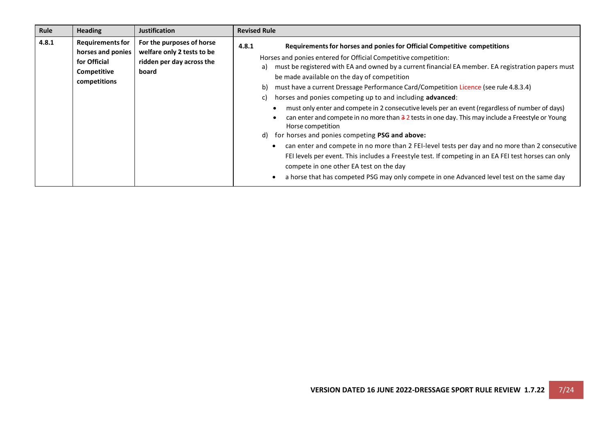| Rule  | <b>Heading</b>                                                                              | <b>Justification</b>                                                                          | <b>Revised Rule</b>                                                                                                                                                                                                                                                                                                                                                                                                                                                                                                                                                                                                                                                                                                                                                                                                                                                                                                                                                                                                                                                                                                     |
|-------|---------------------------------------------------------------------------------------------|-----------------------------------------------------------------------------------------------|-------------------------------------------------------------------------------------------------------------------------------------------------------------------------------------------------------------------------------------------------------------------------------------------------------------------------------------------------------------------------------------------------------------------------------------------------------------------------------------------------------------------------------------------------------------------------------------------------------------------------------------------------------------------------------------------------------------------------------------------------------------------------------------------------------------------------------------------------------------------------------------------------------------------------------------------------------------------------------------------------------------------------------------------------------------------------------------------------------------------------|
| 4.8.1 | <b>Requirements for</b><br>horses and ponies<br>for Official<br>Competitive<br>competitions | For the purposes of horse<br>welfare only 2 tests to be<br>ridden per day across the<br>board | Requirements for horses and ponies for Official Competitive competitions<br>4.8.1<br>Horses and ponies entered for Official Competitive competition:<br>must be registered with EA and owned by a current financial EA member. EA registration papers must<br>a)<br>be made available on the day of competition<br>must have a current Dressage Performance Card/Competition Licence (see rule 4.8.3.4)<br>b)<br>horses and ponies competing up to and including advanced:<br>C)<br>must only enter and compete in 2 consecutive levels per an event (regardless of number of days)<br>can enter and compete in no more than 3 2 tests in one day. This may include a Freestyle or Young<br>Horse competition<br>for horses and ponies competing PSG and above:<br>d)<br>can enter and compete in no more than 2 FEI-level tests per day and no more than 2 consecutive<br>FEI levels per event. This includes a Freestyle test. If competing in an EA FEI test horses can only<br>compete in one other EA test on the day<br>a horse that has competed PSG may only compete in one Advanced level test on the same day |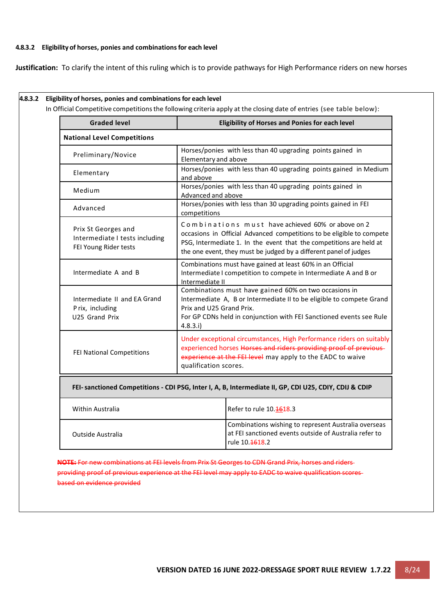### **4.8.3.2 Eligibility of horses, ponies and combinationsfor each level**

**Justification:** To clarify the intent of this ruling which is to provide pathways for High Performance riders on new horses

### **4.8.3.2 Eligibility of horses, ponies and combinationsfor each level**

In Official Competitive competitions the following criteria apply at the closing date of entries (see table below):

| <b>Graded level</b>                                                                                    | <b>Eligibility of Horses and Ponies for each level</b>                                                                                                                                                                                                                 |  |
|--------------------------------------------------------------------------------------------------------|------------------------------------------------------------------------------------------------------------------------------------------------------------------------------------------------------------------------------------------------------------------------|--|
| <b>National Level Competitions</b>                                                                     |                                                                                                                                                                                                                                                                        |  |
| Preliminary/Novice                                                                                     | Horses/ponies with less than 40 upgrading points gained in<br>Elementary and above                                                                                                                                                                                     |  |
| Elementary                                                                                             | Horses/ponies with less than 40 upgrading points gained in Medium<br>and above                                                                                                                                                                                         |  |
| Medium                                                                                                 | Horses/ponies with less than 40 upgrading points gained in<br>Advanced and above                                                                                                                                                                                       |  |
| Advanced                                                                                               | Horses/ponies with less than 30 upgrading points gained in FEI<br>competitions                                                                                                                                                                                         |  |
| Prix St Georges and<br>Intermediate I tests including<br>FEI Young Rider tests                         | Combinations must have achieved 60% or above on 2<br>occasions in Official Advanced competitions to be eligible to compete<br>PSG, Intermediate 1. In the event that the competitions are held at<br>the one event, they must be judged by a different panel of judges |  |
| Intermediate A and B                                                                                   | Combinations must have gained at least 60% in an Official<br>Intermediate I competition to compete in Intermediate A and B or<br>Intermediate II                                                                                                                       |  |
| Intermediate II and EA Grand<br>Prix, including<br>U25 Grand Prix                                      | Combinations must have gained 60% on two occasions in<br>Intermediate A, B or Intermediate II to be eligible to compete Grand<br>Prix and U25 Grand Prix.<br>For GP CDNs held in conjunction with FEI Sanctioned events see Rule<br>4.8.3.i)                           |  |
| FEI National Competitions                                                                              | Under exceptional circumstances, High Performance riders on suitably<br>experienced horses Horses and riders providing proof of previous<br>experience at the FEI level may apply to the EADC to waive<br>qualification scores.                                        |  |
| FEI- sanctioned Competitions - CDI PSG, Inter I, A, B, Intermediate II, GP, CDI U25, CDIY, CDIJ & CDIP |                                                                                                                                                                                                                                                                        |  |

| Within Australia  | Refer to rule 10.4618.3                                                                                                                       |
|-------------------|-----------------------------------------------------------------------------------------------------------------------------------------------|
| Outside Australia | Combinations wishing to represent Australia overseas<br>at FEI sanctioned events outside of Australia refer to<br>rule 10. <del>16</del> 18.2 |

**NOTE:** For new combinations at FEI levels from Prix St Georges to CDN Grand Prix, horses and riders providing proof of previous experience at the FEI level may apply to EADC to waive qualification scores based on evidence provided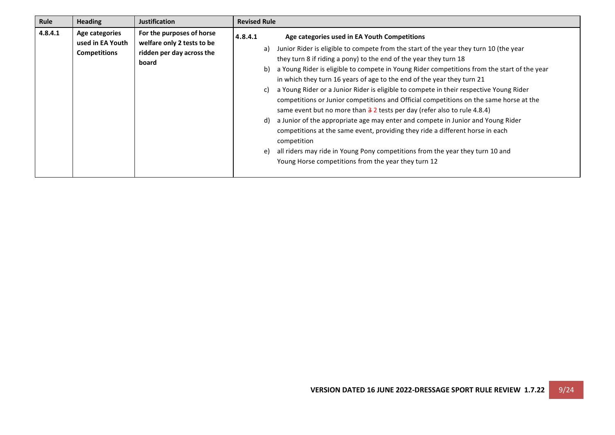| Rule    | <b>Heading</b>                                                   | <b>Justification</b>                                                                          | <b>Revised Rule</b>                                                                                                                                                                                                                                                                                                                                                                                                                                                                                                                                                                                                                                                                                                                                                                                                                                                                                                                                                                                                                |  |
|---------|------------------------------------------------------------------|-----------------------------------------------------------------------------------------------|------------------------------------------------------------------------------------------------------------------------------------------------------------------------------------------------------------------------------------------------------------------------------------------------------------------------------------------------------------------------------------------------------------------------------------------------------------------------------------------------------------------------------------------------------------------------------------------------------------------------------------------------------------------------------------------------------------------------------------------------------------------------------------------------------------------------------------------------------------------------------------------------------------------------------------------------------------------------------------------------------------------------------------|--|
| 4.8.4.1 | <b>Age categories</b><br>used in EA Youth<br><b>Competitions</b> | For the purposes of horse<br>welfare only 2 tests to be<br>ridden per day across the<br>board | 4.8.4.1<br>Age categories used in EA Youth Competitions<br>Junior Rider is eligible to compete from the start of the year they turn 10 (the year<br>a)<br>they turn 8 if riding a pony) to the end of the year they turn 18<br>a Young Rider is eligible to compete in Young Rider competitions from the start of the year<br>b)<br>in which they turn 16 years of age to the end of the year they turn 21<br>a Young Rider or a Junior Rider is eligible to compete in their respective Young Rider<br>C)<br>competitions or Junior competitions and Official competitions on the same horse at the<br>same event but no more than $\frac{3}{2}$ tests per day (refer also to rule 4.8.4)<br>a Junior of the appropriate age may enter and compete in Junior and Young Rider<br>d).<br>competitions at the same event, providing they ride a different horse in each<br>competition<br>all riders may ride in Young Pony competitions from the year they turn 10 and<br>e)<br>Young Horse competitions from the year they turn 12 |  |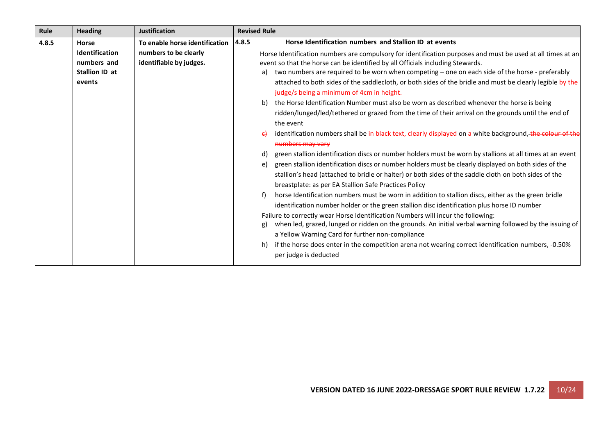| <b>Heading</b>        | <b>Justification</b>            | <b>Revised Rule</b>                                                                                                                                            |
|-----------------------|---------------------------------|----------------------------------------------------------------------------------------------------------------------------------------------------------------|
| <b>Horse</b>          | To enable horse identification  | 4.8.5<br>Horse Identification numbers and Stallion ID at events                                                                                                |
| <b>Identification</b> | numbers to be clearly           | Horse Identification numbers are compulsory for identification purposes and must be used at all times at an                                                    |
| numbers and           |                                 | event so that the horse can be identified by all Officials including Stewards.                                                                                 |
|                       |                                 | two numbers are required to be worn when competing – one on each side of the horse - preferably<br>a)                                                          |
|                       |                                 | attached to both sides of the saddlecloth, or both sides of the bridle and must be clearly legible by the                                                      |
|                       |                                 | judge/s being a minimum of 4cm in height.                                                                                                                      |
|                       |                                 | the Horse Identification Number must also be worn as described whenever the horse is being<br>b)                                                               |
|                       |                                 | ridden/lunged/led/tethered or grazed from the time of their arrival on the grounds until the end of<br>the event                                               |
|                       |                                 | identification numbers shall be in black text, clearly displayed on a white background, the colour of the<br>$\epsilon$                                        |
|                       |                                 | numbers may vary                                                                                                                                               |
|                       |                                 | green stallion identification discs or number holders must be worn by stallions at all times at an event<br>d)                                                 |
|                       |                                 | green stallion identification discs or number holders must be clearly displayed on both sides of the<br>e)                                                     |
|                       |                                 | stallion's head (attached to bridle or halter) or both sides of the saddle cloth on both sides of the<br>breastplate: as per EA Stallion Safe Practices Policy |
|                       |                                 | horse Identification numbers must be worn in addition to stallion discs, either as the green bridle<br>f)                                                      |
|                       |                                 | identification number holder or the green stallion disc identification plus horse ID number                                                                    |
|                       |                                 | Failure to correctly wear Horse Identification Numbers will incur the following:                                                                               |
|                       |                                 | when led, grazed, lunged or ridden on the grounds. An initial verbal warning followed by the issuing of<br>g)                                                  |
|                       |                                 | a Yellow Warning Card for further non-compliance                                                                                                               |
|                       |                                 | if the horse does enter in the competition arena not wearing correct identification numbers, -0.50%<br>h)<br>per judge is deducted                             |
|                       | <b>Stallion ID at</b><br>events | identifiable by judges.                                                                                                                                        |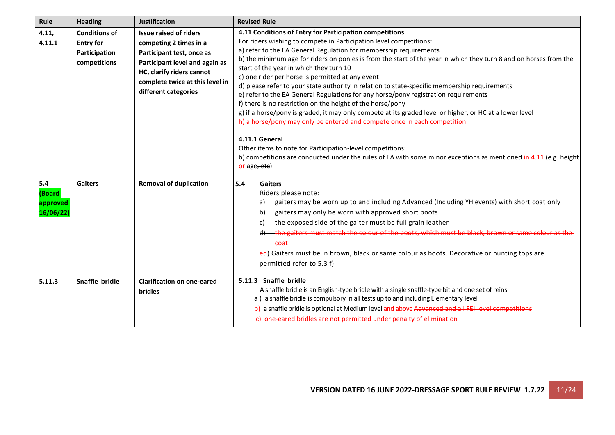| Rule                                   | <b>Heading</b>                                                            | <b>Justification</b>                                                                                                                                                                                           | <b>Revised Rule</b>                                                                                                                                                                                                                                                                                                                                                                                                                                                                                                                                                                                                                                                                                                                                                                                                                                                                                                                                                                                                                                                                    |
|----------------------------------------|---------------------------------------------------------------------------|----------------------------------------------------------------------------------------------------------------------------------------------------------------------------------------------------------------|----------------------------------------------------------------------------------------------------------------------------------------------------------------------------------------------------------------------------------------------------------------------------------------------------------------------------------------------------------------------------------------------------------------------------------------------------------------------------------------------------------------------------------------------------------------------------------------------------------------------------------------------------------------------------------------------------------------------------------------------------------------------------------------------------------------------------------------------------------------------------------------------------------------------------------------------------------------------------------------------------------------------------------------------------------------------------------------|
| 4.11,<br>4.11.1                        | <b>Conditions of</b><br><b>Entry for</b><br>Participation<br>competitions | <b>Issue raised of riders</b><br>competing 2 times in a<br>Participant test, once as<br>Participant level and again as<br>HC, clarify riders cannot<br>complete twice at this level in<br>different categories | 4.11 Conditions of Entry for Participation competitions<br>For riders wishing to compete in Participation level competitions:<br>a) refer to the EA General Regulation for membership requirements<br>b) the minimum age for riders on ponies is from the start of the year in which they turn 8 and on horses from the<br>start of the year in which they turn 10<br>c) one rider per horse is permitted at any event<br>d) please refer to your state authority in relation to state-specific membership requirements<br>e) refer to the EA General Regulations for any horse/pony registration requirements<br>f) there is no restriction on the height of the horse/pony<br>g) if a horse/pony is graded, it may only compete at its graded level or higher, or HC at a lower level<br>h) a horse/pony may only be entered and compete once in each competition<br>4.11.1 General<br>Other items to note for Participation-level competitions:<br>b) competitions are conducted under the rules of EA with some minor exceptions as mentioned in 4.11 (e.g. height<br>or age, etc) |
| 5.4<br>(Board<br>approved<br>16/06/22) | <b>Gaiters</b>                                                            | <b>Removal of duplication</b>                                                                                                                                                                                  | 5.4<br><b>Gaiters</b><br>Riders please note:<br>gaiters may be worn up to and including Advanced (Including YH events) with short coat only<br>a)<br>gaiters may only be worn with approved short boots<br>b)<br>the exposed side of the gaiter must be full grain leather<br>c)<br>the gaiters must match the colour of the boots, which must be black, brown or same colour as the<br>coat<br>ed) Gaiters must be in brown, black or same colour as boots. Decorative or hunting tops are<br>permitted refer to 5.3 f)                                                                                                                                                                                                                                                                                                                                                                                                                                                                                                                                                               |
| 5.11.3                                 | Snaffle bridle                                                            | <b>Clarification on one-eared</b><br>bridles                                                                                                                                                                   | 5.11.3 Snaffle bridle<br>A snaffle bridle is an English-type bridle with a single snaffle-type bit and one set of reins<br>a) a snaffle bridle is compulsory in all tests up to and including Elementary level<br>b) a snaffle bridle is optional at Medium level and above Advanced and all FEI-level competitions<br>c) one-eared bridles are not permitted under penalty of elimination                                                                                                                                                                                                                                                                                                                                                                                                                                                                                                                                                                                                                                                                                             |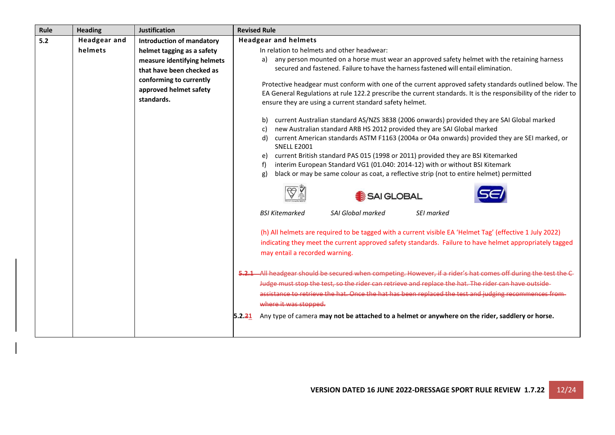| Rule  | <b>Heading</b>                 | <b>Justification</b>                                                                                                                                                                          | <b>Revised Rule</b>                                                                                                                                                                                                                                                                                                                                                                                                                                                                                                                                                                                                                                                                                                                                                                                                                                                                                                                                                                                                                                                                                                                                                                                                                                                                                                                                                                                                                                                                                                                                                                                                    |
|-------|--------------------------------|-----------------------------------------------------------------------------------------------------------------------------------------------------------------------------------------------|------------------------------------------------------------------------------------------------------------------------------------------------------------------------------------------------------------------------------------------------------------------------------------------------------------------------------------------------------------------------------------------------------------------------------------------------------------------------------------------------------------------------------------------------------------------------------------------------------------------------------------------------------------------------------------------------------------------------------------------------------------------------------------------------------------------------------------------------------------------------------------------------------------------------------------------------------------------------------------------------------------------------------------------------------------------------------------------------------------------------------------------------------------------------------------------------------------------------------------------------------------------------------------------------------------------------------------------------------------------------------------------------------------------------------------------------------------------------------------------------------------------------------------------------------------------------------------------------------------------------|
| $5.2$ | <b>Headgear and</b><br>helmets | <b>Introduction of mandatory</b><br>helmet tagging as a safety<br>measure identifying helmets<br>that have been checked as<br>conforming to currently<br>approved helmet safety<br>standards. | <b>Headgear and helmets</b><br>In relation to helmets and other headwear:<br>any person mounted on a horse must wear an approved safety helmet with the retaining harness<br>a)<br>secured and fastened. Failure to have the harness fastened will entail elimination.<br>Protective headgear must conform with one of the current approved safety standards outlined below. The<br>EA General Regulations at rule 122.2 prescribe the current standards. It is the responsibility of the rider to<br>ensure they are using a current standard safety helmet.<br>current Australian standard AS/NZS 3838 (2006 onwards) provided they are SAI Global marked<br>b)<br>new Australian standard ARB HS 2012 provided they are SAI Global marked<br>C)<br>current American standards ASTM F1163 (2004a or 04a onwards) provided they are SEI marked, or<br>d)<br><b>SNELL E2001</b><br>current British standard PAS 015 (1998 or 2011) provided they are BSI Kitemarked<br>e)<br>interim European Standard VG1 (01.040: 2014-12) with or without BSI Kitemark<br>f)<br>black or may be same colour as coat, a reflective strip (not to entire helmet) permitted<br>g)<br>SAI GLOBAL<br><b>BSI Kitemarked</b><br>SAI Global marked<br>SEI marked<br>(h) All helmets are required to be tagged with a current visible EA 'Helmet Tag' (effective 1 July 2022)<br>indicating they meet the current approved safety standards. Failure to have helmet appropriately tagged<br>may entail a recorded warning.<br>5.2.1 All headgear should be secured when competing. However, if a rider's hat comes off during the test the C |
|       |                                |                                                                                                                                                                                               | Judge must stop the test, so the rider can retrieve and replace the hat. The rider can have outside-<br>assistance to retrieve the hat. Once the hat has been replaced the test and judging recommences from<br>where it was stopped.<br>Any type of camera may not be attached to a helmet or anywhere on the rider, saddlery or horse.<br>5.2.21                                                                                                                                                                                                                                                                                                                                                                                                                                                                                                                                                                                                                                                                                                                                                                                                                                                                                                                                                                                                                                                                                                                                                                                                                                                                     |
|       |                                |                                                                                                                                                                                               |                                                                                                                                                                                                                                                                                                                                                                                                                                                                                                                                                                                                                                                                                                                                                                                                                                                                                                                                                                                                                                                                                                                                                                                                                                                                                                                                                                                                                                                                                                                                                                                                                        |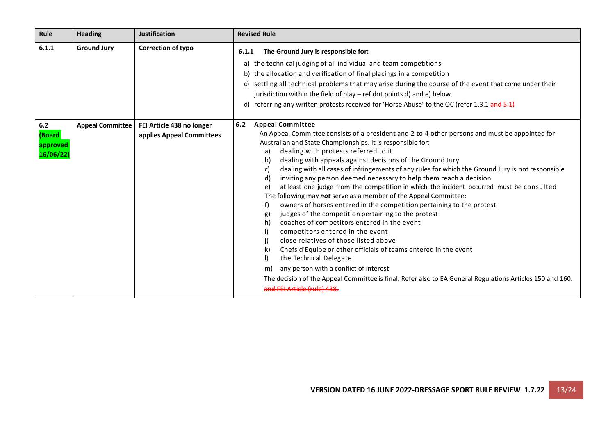| Rule                                        | <b>Heading</b>          | <b>Justification</b>                                   | <b>Revised Rule</b>                                                                                                                                                                                                                                                                                                                                                                                                                                                                                                                                                                                                                                                                                                                                                                                                                                                                                                                                                                                                                                                                                                                                                                                                                                                   |
|---------------------------------------------|-------------------------|--------------------------------------------------------|-----------------------------------------------------------------------------------------------------------------------------------------------------------------------------------------------------------------------------------------------------------------------------------------------------------------------------------------------------------------------------------------------------------------------------------------------------------------------------------------------------------------------------------------------------------------------------------------------------------------------------------------------------------------------------------------------------------------------------------------------------------------------------------------------------------------------------------------------------------------------------------------------------------------------------------------------------------------------------------------------------------------------------------------------------------------------------------------------------------------------------------------------------------------------------------------------------------------------------------------------------------------------|
| 6.1.1                                       | <b>Ground Jury</b>      | Correction of typo                                     | The Ground Jury is responsible for:<br>6.1.1<br>a) the technical judging of all individual and team competitions<br>b) the allocation and verification of final placings in a competition<br>c) settling all technical problems that may arise during the course of the event that come under their<br>jurisdiction within the field of play - ref dot points d) and e) below.<br>d) referring any written protests received for 'Horse Abuse' to the OC (refer 1.3.1 and 5.1)                                                                                                                                                                                                                                                                                                                                                                                                                                                                                                                                                                                                                                                                                                                                                                                        |
| 6.2<br><b>Board</b><br>approved<br>16/06/22 | <b>Appeal Committee</b> | FEI Article 438 no longer<br>applies Appeal Committees | <b>Appeal Committee</b><br>6.2<br>An Appeal Committee consists of a president and 2 to 4 other persons and must be appointed for<br>Australian and State Championships. It is responsible for:<br>dealing with protests referred to it<br>a)<br>dealing with appeals against decisions of the Ground Jury<br>b)<br>dealing with all cases of infringements of any rules for which the Ground Jury is not responsible<br>c)<br>inviting any person deemed necessary to help them reach a decision<br>d)<br>at least one judge from the competition in which the incident occurred must be consulted<br>e)<br>The following may not serve as a member of the Appeal Committee:<br>owners of horses entered in the competition pertaining to the protest<br>f)<br>judges of the competition pertaining to the protest<br>g)<br>coaches of competitors entered in the event<br>h)<br>i)<br>competitors entered in the event<br>close relatives of those listed above<br>j)<br>k)<br>Chefs d'Equipe or other officials of teams entered in the event<br>the Technical Delegate<br>any person with a conflict of interest<br>m)<br>The decision of the Appeal Committee is final. Refer also to EA General Regulations Articles 150 and 160.<br>and FEI Article (rule) 438. |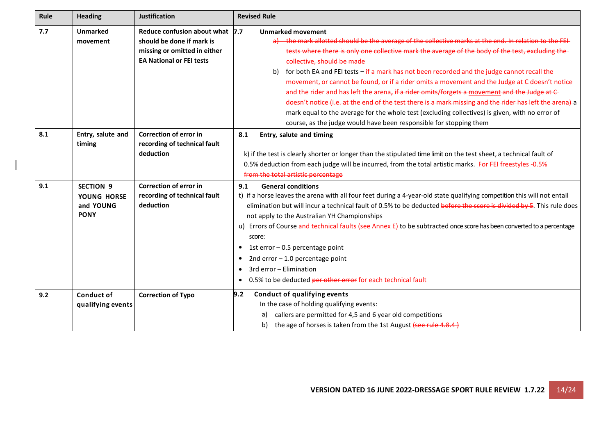| Rule | <b>Heading</b>                                              | <b>Justification</b>                                                                                                            | <b>Revised Rule</b>                                                                                                                                                                                                                                                                                                                                                                                                                                                                                                                                                                                                                                                                                                                                                                                                                                                |
|------|-------------------------------------------------------------|---------------------------------------------------------------------------------------------------------------------------------|--------------------------------------------------------------------------------------------------------------------------------------------------------------------------------------------------------------------------------------------------------------------------------------------------------------------------------------------------------------------------------------------------------------------------------------------------------------------------------------------------------------------------------------------------------------------------------------------------------------------------------------------------------------------------------------------------------------------------------------------------------------------------------------------------------------------------------------------------------------------|
| 7.7  | <b>Unmarked</b><br>movement                                 | Reduce confusion about what 7.7<br>should be done if mark is<br>missing or omitted in either<br><b>EA National or FEI tests</b> | <b>Unmarked movement</b><br>a) the mark allotted should be the average of the collective marks at the end. In relation to the FEI-<br>tests where there is only one collective mark the average of the body of the test, excluding the<br>collective, should be made<br>for both EA and FEI tests $-$ if a mark has not been recorded and the judge cannot recall the<br>b)<br>movement, or cannot be found, or if a rider omits a movement and the Judge at C doesn't notice<br>and the rider and has left the arena, if a rider omits/forgets a movement and the Judge at C-<br>doesn't notice (i.e. at the end of the test there is a mark missing and the rider has left the arena) a<br>mark equal to the average for the whole test (excluding collectives) is given, with no error of<br>course, as the judge would have been responsible for stopping them |
| 8.1  | Entry, salute and<br>timing                                 | <b>Correction of error in</b><br>recording of technical fault<br>deduction                                                      | 8.1<br>Entry, salute and timing<br>k) if the test is clearly shorter or longer than the stipulated time limit on the test sheet, a technical fault of<br>0.5% deduction from each judge will be incurred, from the total artistic marks. For FEI freestyles -0.5%<br>from the total artistic percentage                                                                                                                                                                                                                                                                                                                                                                                                                                                                                                                                                            |
| 9.1  | <b>SECTION 9</b><br>YOUNG HORSE<br>and YOUNG<br><b>PONY</b> | <b>Correction of error in</b><br>recording of technical fault<br>deduction                                                      | 9.1<br><b>General conditions</b><br>t) if a horse leaves the arena with all four feet during a 4-year-old state qualifying competition this will not entail<br>elimination but will incur a technical fault of 0.5% to be deducted before the score is divided by 5. This rule does<br>not apply to the Australian YH Championships<br>u) Errors of Course and technical faults (see Annex E) to be subtracted once score has been converted to a percentage<br>score:<br>1st error - 0.5 percentage point<br>$\bullet$<br>2nd error $-1.0$ percentage point<br>3rd error - Elimination<br>$\bullet$<br>0.5% to be deducted per other error for each technical fault                                                                                                                                                                                               |
| 9.2  | <b>Conduct of</b><br>qualifying events                      | <b>Correction of Typo</b>                                                                                                       | Conduct of qualifying events<br>9.2<br>In the case of holding qualifying events:<br>callers are permitted for 4,5 and 6 year old competitions<br>b) the age of horses is taken from the 1st August (see rule 4.8.4)                                                                                                                                                                                                                                                                                                                                                                                                                                                                                                                                                                                                                                                |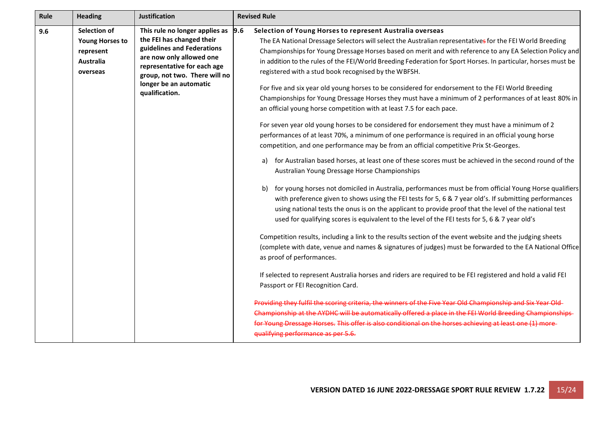| Rule | <b>Heading</b>                                                                      | <b>Justification</b>                                                                                                                                                                                                              | <b>Revised Rule</b>                                                                                                                                                                                                                                                                                                                                                                                                                                                                                                                                                                                                                                                                                                                                                                                                                                                                                                                                                                                                                                                                                                                                                                                                                                                                                                                                                                                                                                                                                                                                                                                                                                                                                                                                                                                                                                                                                                                                                                                                                                                                                                                                                                                                                                                                                                                                                                                                                                 |
|------|-------------------------------------------------------------------------------------|-----------------------------------------------------------------------------------------------------------------------------------------------------------------------------------------------------------------------------------|-----------------------------------------------------------------------------------------------------------------------------------------------------------------------------------------------------------------------------------------------------------------------------------------------------------------------------------------------------------------------------------------------------------------------------------------------------------------------------------------------------------------------------------------------------------------------------------------------------------------------------------------------------------------------------------------------------------------------------------------------------------------------------------------------------------------------------------------------------------------------------------------------------------------------------------------------------------------------------------------------------------------------------------------------------------------------------------------------------------------------------------------------------------------------------------------------------------------------------------------------------------------------------------------------------------------------------------------------------------------------------------------------------------------------------------------------------------------------------------------------------------------------------------------------------------------------------------------------------------------------------------------------------------------------------------------------------------------------------------------------------------------------------------------------------------------------------------------------------------------------------------------------------------------------------------------------------------------------------------------------------------------------------------------------------------------------------------------------------------------------------------------------------------------------------------------------------------------------------------------------------------------------------------------------------------------------------------------------------------------------------------------------------------------------------------------------------|
| 9.6  | <b>Selection of</b><br><b>Young Horses to</b><br>represent<br>Australia<br>overseas | This rule no longer applies as<br>the FEI has changed their<br>guidelines and Federations<br>are now only allowed one<br>representative for each age<br>group, not two. There will no<br>longer be an automatic<br>qualification. | 9.6<br>Selection of Young Horses to represent Australia overseas<br>The EA National Dressage Selectors will select the Australian representatives for the FEI World Breeding<br>Championships for Young Dressage Horses based on merit and with reference to any EA Selection Policy and<br>in addition to the rules of the FEI/World Breeding Federation for Sport Horses. In particular, horses must be<br>registered with a stud book recognised by the WBFSH.<br>For five and six year old young horses to be considered for endorsement to the FEI World Breeding<br>Championships for Young Dressage Horses they must have a minimum of 2 performances of at least 80% in<br>an official young horse competition with at least 7.5 for each pace.<br>For seven year old young horses to be considered for endorsement they must have a minimum of 2<br>performances of at least 70%, a minimum of one performance is required in an official young horse<br>competition, and one performance may be from an official competitive Prix St-Georges.<br>for Australian based horses, at least one of these scores must be achieved in the second round of the<br>a)<br>Australian Young Dressage Horse Championships<br>for young horses not domiciled in Australia, performances must be from official Young Horse qualifiers<br>b)<br>with preference given to shows using the FEI tests for 5, 6 & 7 year old's. If submitting performances<br>using national tests the onus is on the applicant to provide proof that the level of the national test<br>used for qualifying scores is equivalent to the level of the FEI tests for 5, 6 & 7 year old's<br>Competition results, including a link to the results section of the event website and the judging sheets<br>(complete with date, venue and names & signatures of judges) must be forwarded to the EA National Office<br>as proof of performances.<br>If selected to represent Australia horses and riders are required to be FEI registered and hold a valid FEI<br>Passport or FEI Recognition Card.<br>Providing they fulfil the scoring criteria, the winners of the Five Year Old Championship and Six Year Old-<br>Championship at the AYDHC will be automatically offered a place in the FEI World Breeding Championships-<br>for Young Dressage Horses. This offer is also conditional on the horses achieving at least one (1) more-<br>qualifying performance as per 5.6. |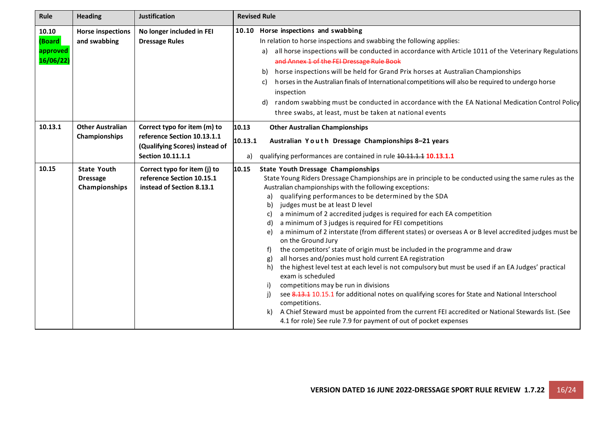| Rule                                           | <b>Heading</b>                                         | <b>Justification</b>                                                                                               | <b>Revised Rule</b>                                                                                                     |                                                                                                                                                                                                                                                                                                                                                                                                                                                                                                                                                                                                                                                                                                                                                                                                                                                                                                                                                                                                                                                                                                                           |
|------------------------------------------------|--------------------------------------------------------|--------------------------------------------------------------------------------------------------------------------|-------------------------------------------------------------------------------------------------------------------------|---------------------------------------------------------------------------------------------------------------------------------------------------------------------------------------------------------------------------------------------------------------------------------------------------------------------------------------------------------------------------------------------------------------------------------------------------------------------------------------------------------------------------------------------------------------------------------------------------------------------------------------------------------------------------------------------------------------------------------------------------------------------------------------------------------------------------------------------------------------------------------------------------------------------------------------------------------------------------------------------------------------------------------------------------------------------------------------------------------------------------|
| 10.10<br><b>Board</b><br>approved<br>16/06/22) | <b>Horse inspections</b><br>and swabbing               | No longer included in FEI<br><b>Dressage Rules</b>                                                                 | 10.10 Horse inspections and swabbing<br>a) -<br>b)<br>C)<br>inspection                                                  | In relation to horse inspections and swabbing the following applies:<br>all horse inspections will be conducted in accordance with Article 1011 of the Veterinary Regulations<br>and Annex 1 of the FEI Dressage Rule Book<br>horse inspections will be held for Grand Prix horses at Australian Championships<br>h orses in the Australian finals of International competitions will also be required to undergo horse<br>d) random swabbing must be conducted in accordance with the EA National Medication Control Policy<br>three swabs, at least, must be taken at national events                                                                                                                                                                                                                                                                                                                                                                                                                                                                                                                                   |
| 10.13.1                                        | <b>Other Australian</b><br><b>Championships</b>        | Correct typo for item (m) to<br>reference Section 10.13.1.1<br>(Qualifying Scores) instead of<br>Section 10.11.1.1 | 10.13<br>10.13.1<br>a)                                                                                                  | <b>Other Australian Championships</b><br>Australian Youth Dressage Championships 8-21 years<br>qualifying performances are contained in rule 10.11.1.1 10.13.1.1                                                                                                                                                                                                                                                                                                                                                                                                                                                                                                                                                                                                                                                                                                                                                                                                                                                                                                                                                          |
| 10.15                                          | <b>State Youth</b><br><b>Dressage</b><br>Championships | Correct typo for item (j) to<br>reference Section 10.15.1<br>instead of Section 8.13.1                             | 10.15<br>a)<br>c)<br>d)<br>e)<br>on the Ground Jury<br>g)<br>h)<br>exam is scheduled<br>i)<br>i)<br>competitions.<br>k) | <b>State Youth Dressage Championships</b><br>State Young Riders Dressage Championships are in principle to be conducted using the same rules as the<br>Australian championships with the following exceptions:<br>qualifying performances to be determined by the SDA<br>b) judges must be at least D level<br>a minimum of 2 accredited judges is required for each EA competition<br>a minimum of 3 judges is required for FEI competitions<br>a minimum of 2 interstate (from different states) or overseas A or B level accredited judges must be<br>the competitors' state of origin must be included in the programme and draw<br>all horses and/ponies must hold current EA registration<br>the highest level test at each level is not compulsory but must be used if an EA Judges' practical<br>competitions may be run in divisions<br>see 8.13.1 10.15.1 for additional notes on qualifying scores for State and National Interschool<br>A Chief Steward must be appointed from the current FEI accredited or National Stewards list. (See<br>4.1 for role) See rule 7.9 for payment of out of pocket expenses |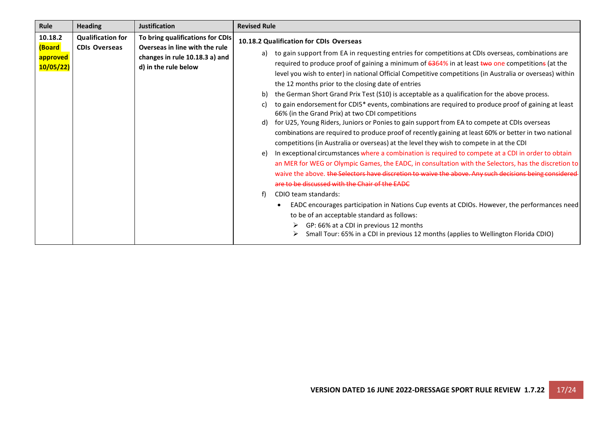| Rule                                       | <b>Heading</b>                                   | <b>Justification</b>                                                                                                         | <b>Revised Rule</b>                                                                                                                                                                                                                                                                                                                                                                                                                                                                                                                                                                                                                                                                                                                                                                                                                                                                                                                                                                                                                                                                                                                                                                                                                                                                                                                                                                                                                                                                                                                                                                                                                                                                                                  |
|--------------------------------------------|--------------------------------------------------|------------------------------------------------------------------------------------------------------------------------------|----------------------------------------------------------------------------------------------------------------------------------------------------------------------------------------------------------------------------------------------------------------------------------------------------------------------------------------------------------------------------------------------------------------------------------------------------------------------------------------------------------------------------------------------------------------------------------------------------------------------------------------------------------------------------------------------------------------------------------------------------------------------------------------------------------------------------------------------------------------------------------------------------------------------------------------------------------------------------------------------------------------------------------------------------------------------------------------------------------------------------------------------------------------------------------------------------------------------------------------------------------------------------------------------------------------------------------------------------------------------------------------------------------------------------------------------------------------------------------------------------------------------------------------------------------------------------------------------------------------------------------------------------------------------------------------------------------------------|
| 10.18.2<br>(Board<br>approved<br>10/05/22) | <b>Qualification for</b><br><b>CDIs Overseas</b> | To bring qualifications for CDIs<br>Overseas in line with the rule<br>changes in rule 10.18.3 a) and<br>d) in the rule below | 10.18.2 Qualification for CDIs Overseas<br>to gain support from EA in requesting entries for competitions at CDIs overseas, combinations are<br>a)<br>required to produce proof of gaining a minimum of 6364% in at least two one competitions (at the<br>level you wish to enter) in national Official Competitive competitions (in Australia or overseas) within<br>the 12 months prior to the closing date of entries<br>the German Short Grand Prix Test (S10) is acceptable as a qualification for the above process.<br>b)<br>to gain endorsement for CDI5* events, combinations are required to produce proof of gaining at least<br>C)<br>66% (in the Grand Prix) at two CDI competitions<br>for U25, Young Riders, Juniors or Ponies to gain support from EA to compete at CDIs overseas<br>d)<br>combinations are required to produce proof of recently gaining at least 60% or better in two national<br>competitions (in Australia or overseas) at the level they wish to compete in at the CDI<br>In exceptional circumstances where a combination is required to compete at a CDI in order to obtain<br>e)<br>an MER for WEG or Olympic Games, the EADC, in consultation with the Selectors, has the discretion to<br>waive the above. the Selectors have discretion to waive the above. Any such decisions being considered<br>are to be discussed with the Chair of the EADC<br>CDIO team standards:<br>f)<br>EADC encourages participation in Nations Cup events at CDIOs. However, the performances need<br>to be of an acceptable standard as follows:<br>GP: 66% at a CDI in previous 12 months<br>➤<br>Small Tour: 65% in a CDI in previous 12 months (applies to Wellington Florida CDIO)<br>➤ |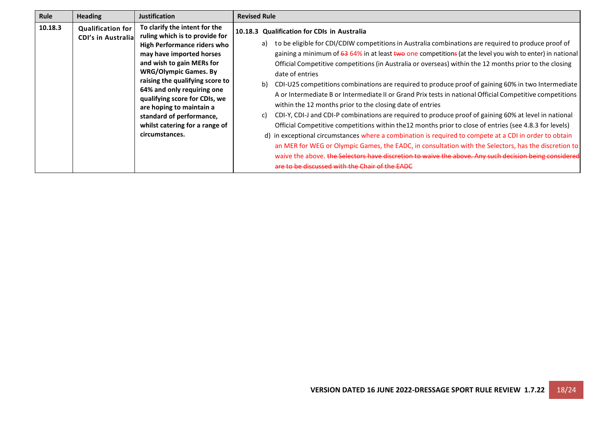| Rule    | <b>Heading</b>                                         | <b>Justification</b>                                                                                                                                                                                                                                                                                                                                                                                         | <b>Revised Rule</b>                                                                                                                                                                                                                                                                                                                                                                                                                                                                                                                                                                                                                                                                                                                                                                                                                                                                                                                                                                                                                                                                                                                                                                                                                                                                            |
|---------|--------------------------------------------------------|--------------------------------------------------------------------------------------------------------------------------------------------------------------------------------------------------------------------------------------------------------------------------------------------------------------------------------------------------------------------------------------------------------------|------------------------------------------------------------------------------------------------------------------------------------------------------------------------------------------------------------------------------------------------------------------------------------------------------------------------------------------------------------------------------------------------------------------------------------------------------------------------------------------------------------------------------------------------------------------------------------------------------------------------------------------------------------------------------------------------------------------------------------------------------------------------------------------------------------------------------------------------------------------------------------------------------------------------------------------------------------------------------------------------------------------------------------------------------------------------------------------------------------------------------------------------------------------------------------------------------------------------------------------------------------------------------------------------|
| 10.18.3 | <b>Qualification for</b><br><b>CDI's in Australial</b> | To clarify the intent for the<br>ruling which is to provide for<br><b>High Performance riders who</b><br>may have imported horses<br>and wish to gain MERs for<br><b>WRG/Olympic Games. By</b><br>raising the qualifying score to<br>64% and only requiring one<br>qualifying score for CDIs, we<br>are hoping to maintain a<br>standard of performance,<br>whilst catering for a range of<br>circumstances. | 10.18.3 Qualification for CDIs in Australia<br>to be eligible for CDI/CDIW competitions in Australia combinations are required to produce proof of<br>a)<br>gaining a minimum of 63 64% in at least two one competitions (at the level you wish to enter) in national<br>Official Competitive competitions (in Australia or overseas) within the 12 months prior to the closing<br>date of entries<br>CDI-U25 competitions combinations are required to produce proof of gaining 60% in two Intermediate<br>b)<br>A or Intermediate B or Intermediate II or Grand Prix tests in national Official Competitive competitions<br>within the 12 months prior to the closing date of entries<br>CDI-Y, CDI-J and CDI-P combinations are required to produce proof of gaining 60% at level in national<br>C)<br>Official Competitive competitions within the 12 months prior to close of entries (see 4.8.3 for levels)<br>d) in exceptional circumstances where a combination is required to compete at a CDI in order to obtain<br>an MER for WEG or Olympic Games, the EADC, in consultation with the Selectors, has the discretion to<br>waive the above. the Selectors have discretion to waive the above. Any such decision being considered<br>are to be discussed with the Chair of the EADC |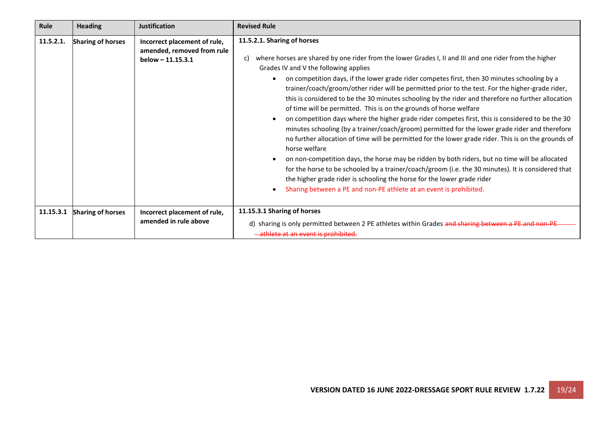| Rule      | <b>Heading</b>           | <b>Justification</b>                                                              | <b>Revised Rule</b>                                                                                                                                                                                                                                                                                                                                                                                                                                                                                                                                                                                                                                                                                                                                                                                                                                                                                                                                                                                                                                                                                                                                                                                                                                                                                                                                                                                 |  |
|-----------|--------------------------|-----------------------------------------------------------------------------------|-----------------------------------------------------------------------------------------------------------------------------------------------------------------------------------------------------------------------------------------------------------------------------------------------------------------------------------------------------------------------------------------------------------------------------------------------------------------------------------------------------------------------------------------------------------------------------------------------------------------------------------------------------------------------------------------------------------------------------------------------------------------------------------------------------------------------------------------------------------------------------------------------------------------------------------------------------------------------------------------------------------------------------------------------------------------------------------------------------------------------------------------------------------------------------------------------------------------------------------------------------------------------------------------------------------------------------------------------------------------------------------------------------|--|
| 11.5.2.1. | <b>Sharing of horses</b> | Incorrect placement of rule,<br>amended, removed from rule<br>$below - 11.15.3.1$ | 11.5.2.1. Sharing of horses<br>where horses are shared by one rider from the lower Grades I, II and III and one rider from the higher<br>C)<br>Grades IV and V the following applies<br>on competition days, if the lower grade rider competes first, then 30 minutes schooling by a<br>trainer/coach/groom/other rider will be permitted prior to the test. For the higher-grade rider,<br>this is considered to be the 30 minutes schooling by the rider and therefore no further allocation<br>of time will be permitted. This is on the grounds of horse welfare<br>on competition days where the higher grade rider competes first, this is considered to be the 30<br>minutes schooling (by a trainer/coach/groom) permitted for the lower grade rider and therefore<br>no further allocation of time will be permitted for the lower grade rider. This is on the grounds of<br>horse welfare<br>on non-competition days, the horse may be ridden by both riders, but no time will be allocated<br>for the horse to be schooled by a trainer/coach/groom (i.e. the 30 minutes). It is considered that<br>the higher grade rider is schooling the horse for the lower grade rider<br>Sharing between a PE and non-PE athlete at an event is prohibited.<br>11.15.3.1 Sharing of horses<br>d) sharing is only permitted between 2 PE athletes within Grades and sharing between a PE and non-PE |  |
| 11.15.3.1 | <b>Sharing of horses</b> | Incorrect placement of rule,<br>amended in rule above                             | -athlete at an event is prohibited.                                                                                                                                                                                                                                                                                                                                                                                                                                                                                                                                                                                                                                                                                                                                                                                                                                                                                                                                                                                                                                                                                                                                                                                                                                                                                                                                                                 |  |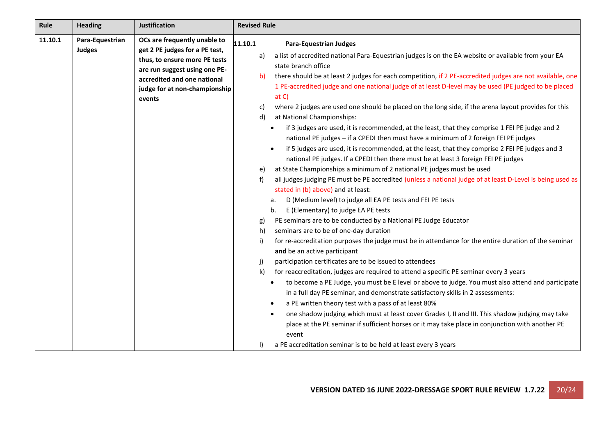| Rule    | <b>Heading</b>                                                                                                                                                                              | <b>Justification</b>                                                                                                                                                                                                   | <b>Revised Rule</b>                                                                                                                                                                                                                                                                                                                                                                                                                                                                                                                                                                                                                                                                                                                                                                                                                                                                                                                                                                                                                          |
|---------|---------------------------------------------------------------------------------------------------------------------------------------------------------------------------------------------|------------------------------------------------------------------------------------------------------------------------------------------------------------------------------------------------------------------------|----------------------------------------------------------------------------------------------------------------------------------------------------------------------------------------------------------------------------------------------------------------------------------------------------------------------------------------------------------------------------------------------------------------------------------------------------------------------------------------------------------------------------------------------------------------------------------------------------------------------------------------------------------------------------------------------------------------------------------------------------------------------------------------------------------------------------------------------------------------------------------------------------------------------------------------------------------------------------------------------------------------------------------------------|
| 11.10.1 | Para-Equestrian                                                                                                                                                                             | OCs are frequently unable to                                                                                                                                                                                           | 11.10.1<br><b>Para-Equestrian Judges</b>                                                                                                                                                                                                                                                                                                                                                                                                                                                                                                                                                                                                                                                                                                                                                                                                                                                                                                                                                                                                     |
|         | <b>Judges</b><br>get 2 PE judges for a PE test,<br>thus, to ensure more PE tests<br>are run suggest using one PE-<br>accredited and one national<br>judge for at non-championship<br>events | a list of accredited national Para-Equestrian judges is on the EA website or available from your EA<br>a)<br>state branch office                                                                                       |                                                                                                                                                                                                                                                                                                                                                                                                                                                                                                                                                                                                                                                                                                                                                                                                                                                                                                                                                                                                                                              |
|         |                                                                                                                                                                                             | there should be at least 2 judges for each competition, if 2 PE-accredited judges are not available, one<br>b)<br>1 PE-accredited judge and one national judge of at least D-level may be used (PE judged to be placed |                                                                                                                                                                                                                                                                                                                                                                                                                                                                                                                                                                                                                                                                                                                                                                                                                                                                                                                                                                                                                                              |
|         |                                                                                                                                                                                             | at C)                                                                                                                                                                                                                  |                                                                                                                                                                                                                                                                                                                                                                                                                                                                                                                                                                                                                                                                                                                                                                                                                                                                                                                                                                                                                                              |
|         |                                                                                                                                                                                             |                                                                                                                                                                                                                        | where 2 judges are used one should be placed on the long side, if the arena layout provides for this<br>C)                                                                                                                                                                                                                                                                                                                                                                                                                                                                                                                                                                                                                                                                                                                                                                                                                                                                                                                                   |
|         |                                                                                                                                                                                             |                                                                                                                                                                                                                        | at National Championships:<br>d)<br>if 3 judges are used, it is recommended, at the least, that they comprise 1 FEI PE judge and 2<br>$\bullet$<br>national PE judges - if a CPEDI then must have a minimum of 2 foreign FEI PE judges<br>if 5 judges are used, it is recommended, at the least, that they comprise 2 FEI PE judges and 3<br>$\bullet$<br>national PE judges. If a CPEDI then there must be at least 3 foreign FEI PE judges<br>at State Championships a minimum of 2 national PE judges must be used<br>e)<br>all judges judging PE must be PE accredited (unless a national judge of at least D-Level is being used as<br>f)<br>stated in (b) above) and at least:<br>D (Medium level) to judge all EA PE tests and FEI PE tests<br>a.<br>E (Elementary) to judge EA PE tests<br>b.<br>PE seminars are to be conducted by a National PE Judge Educator<br>g)<br>seminars are to be of one-day duration<br>h)<br>for re-accreditation purposes the judge must be in attendance for the entire duration of the seminar<br>i) |
|         |                                                                                                                                                                                             |                                                                                                                                                                                                                        | and be an active participant<br>participation certificates are to be issued to attendees<br>i)<br>for reaccreditation, judges are required to attend a specific PE seminar every 3 years<br>k)<br>to become a PE Judge, you must be E level or above to judge. You must also attend and participate<br>$\bullet$<br>in a full day PE seminar, and demonstrate satisfactory skills in 2 assessments:<br>a PE written theory test with a pass of at least 80%<br>$\bullet$<br>one shadow judging which must at least cover Grades I, II and III. This shadow judging may take<br>$\bullet$<br>place at the PE seminar if sufficient horses or it may take place in conjunction with another PE<br>event<br>a PE accreditation seminar is to be held at least every 3 years<br>$\mathbf{I}$                                                                                                                                                                                                                                                     |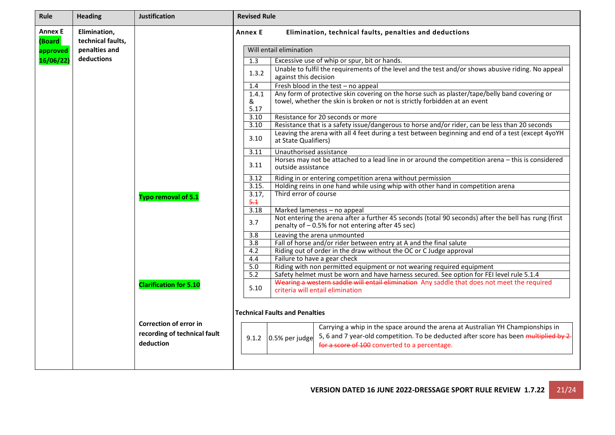| Rule                     | <b>Heading</b>                                                   | <b>Justification</b>                                                       | <b>Revised Rule</b> |                                                                                                                                                                                                                                                   |  |  |  |
|--------------------------|------------------------------------------------------------------|----------------------------------------------------------------------------|---------------------|---------------------------------------------------------------------------------------------------------------------------------------------------------------------------------------------------------------------------------------------------|--|--|--|
| <b>Annex E</b><br>(Board | Elimination,<br>technical faults,<br>penalties and<br>deductions |                                                                            | Annex E             | Elimination, technical faults, penalties and deductions                                                                                                                                                                                           |  |  |  |
| approved                 |                                                                  |                                                                            |                     | Will entail elimination                                                                                                                                                                                                                           |  |  |  |
| 16/06/22)                |                                                                  |                                                                            | 1.3                 | Excessive use of whip or spur, bit or hands.                                                                                                                                                                                                      |  |  |  |
|                          |                                                                  |                                                                            | 1.3.2               | Unable to fulfil the requirements of the level and the test and/or shows abusive riding. No appeal<br>against this decision                                                                                                                       |  |  |  |
|                          |                                                                  |                                                                            | 1.4                 | Fresh blood in the test - no appeal                                                                                                                                                                                                               |  |  |  |
|                          |                                                                  |                                                                            | 1.4.1<br>&<br>5.17  | Any form of protective skin covering on the horse such as plaster/tape/belly band covering or<br>towel, whether the skin is broken or not is strictly forbidden at an event                                                                       |  |  |  |
|                          |                                                                  |                                                                            | 3.10                | Resistance for 20 seconds or more                                                                                                                                                                                                                 |  |  |  |
|                          |                                                                  |                                                                            | 3.10                | Resistance that is a safety issue/dangerous to horse and/or rider, can be less than 20 seconds<br>Leaving the arena with all 4 feet during a test between beginning and end of a test (except 4yoYH<br>at State Qualifiers)                       |  |  |  |
|                          |                                                                  |                                                                            | 3.10                |                                                                                                                                                                                                                                                   |  |  |  |
|                          |                                                                  |                                                                            | 3.11                | Unauthorised assistance                                                                                                                                                                                                                           |  |  |  |
|                          |                                                                  |                                                                            | 3.11                | Horses may not be attached to a lead line in or around the competition arena - this is considered<br>outside assistance                                                                                                                           |  |  |  |
|                          |                                                                  |                                                                            | 3.12                | Riding in or entering competition arena without permission                                                                                                                                                                                        |  |  |  |
|                          |                                                                  |                                                                            | 3.15.               | Holding reins in one hand while using whip with other hand in competition arena                                                                                                                                                                   |  |  |  |
|                          |                                                                  | Typo removal of 5.1                                                        | 3.17,<br>5.1        | Third error of course                                                                                                                                                                                                                             |  |  |  |
|                          |                                                                  |                                                                            | 3.18                | Marked lameness - no appeal                                                                                                                                                                                                                       |  |  |  |
|                          |                                                                  |                                                                            | 3.7                 | Not entering the arena after a further 45 seconds (total 90 seconds) after the bell has rung (first<br>penalty of -0.5% for not entering after 45 sec)                                                                                            |  |  |  |
|                          |                                                                  | <b>Clarification for 5.10</b>                                              | 3.8                 | Leaving the arena unmounted                                                                                                                                                                                                                       |  |  |  |
|                          |                                                                  |                                                                            | $\overline{3.8}$    | Fall of horse and/or rider between entry at A and the final salute                                                                                                                                                                                |  |  |  |
|                          |                                                                  |                                                                            | 4.2                 | Riding out of order in the draw without the OC or C Judge approval                                                                                                                                                                                |  |  |  |
|                          |                                                                  |                                                                            | 4.4<br>5.0          | Failure to have a gear check<br>Riding with non permitted equipment or not wearing required equipment                                                                                                                                             |  |  |  |
|                          |                                                                  |                                                                            | 5.2                 | Safety helmet must be worn and have harness secured. See option for FEI level rule 5.1.4                                                                                                                                                          |  |  |  |
|                          |                                                                  |                                                                            | 5.10                | Wearing a western saddle will entail elimination Any saddle that does not meet the required<br>criteria will entail elimination                                                                                                                   |  |  |  |
|                          |                                                                  |                                                                            |                     | <b>Technical Faults and Penalties</b>                                                                                                                                                                                                             |  |  |  |
|                          |                                                                  | <b>Correction of error in</b><br>recording of technical fault<br>deduction |                     | Carrying a whip in the space around the arena at Australian YH Championships in<br>5, 6 and 7 year-old competition. To be deducted after score has been multiplied by 2-<br>9.1.2 0.5% per judge<br>for a score of 100 converted to a percentage. |  |  |  |
|                          |                                                                  |                                                                            |                     |                                                                                                                                                                                                                                                   |  |  |  |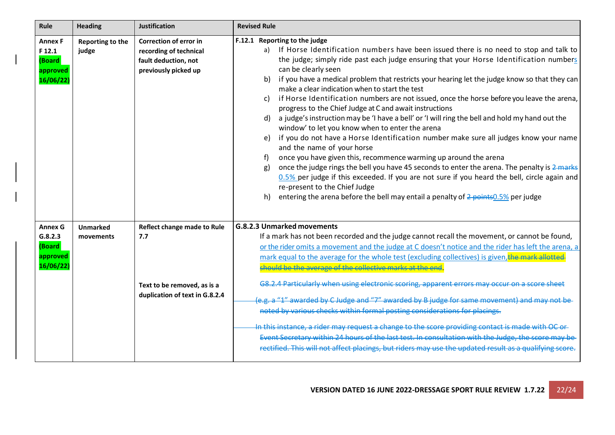| Rule                                                               | <b>Heading</b>               | <b>Justification</b>                                                                                       | <b>Revised Rule</b>                                                                                                                                                                                                                                                                                                                                                                                                                                                                                                                                                                                                                                                                                                                                                                                                                                                                                                                                                                                                                                                                                                                                                                                                                                                          |  |  |  |  |  |
|--------------------------------------------------------------------|------------------------------|------------------------------------------------------------------------------------------------------------|------------------------------------------------------------------------------------------------------------------------------------------------------------------------------------------------------------------------------------------------------------------------------------------------------------------------------------------------------------------------------------------------------------------------------------------------------------------------------------------------------------------------------------------------------------------------------------------------------------------------------------------------------------------------------------------------------------------------------------------------------------------------------------------------------------------------------------------------------------------------------------------------------------------------------------------------------------------------------------------------------------------------------------------------------------------------------------------------------------------------------------------------------------------------------------------------------------------------------------------------------------------------------|--|--|--|--|--|
| <b>Annex F</b><br>F 12.1<br>(Board<br>approved<br>16/06/22)        | Reporting to the<br>judge    | <b>Correction of error in</b><br>recording of technical<br>fault deduction, not<br>previously picked up    | F.12.1 Reporting to the judge<br>If Horse Identification numbers have been issued there is no need to stop and talk to<br>a)<br>the judge; simply ride past each judge ensuring that your Horse Identification numbers<br>can be clearly seen<br>if you have a medical problem that restricts your hearing let the judge know so that they can<br>b)<br>make a clear indication when to start the test<br>if Horse Identification numbers are not issued, once the horse before you leave the arena,<br>C)<br>progress to the Chief Judge at C and await instructions<br>a judge's instruction may be 'I have a bell' or 'I will ring the bell and hold my hand out the<br>$\mathsf{d}$<br>window' to let you know when to enter the arena<br>if you do not have a Horse Identification number make sure all judges know your name<br>e)<br>and the name of your horse<br>once you have given this, recommence warming up around the arena<br>once the judge rings the bell you have 45 seconds to enter the arena. The penalty is 2 marks<br>g)<br>0.5% per judge if this exceeded. If you are not sure if you heard the bell, circle again and<br>re-present to the Chief Judge<br>h)<br>entering the arena before the bell may entail a penalty of 2 points0.5% per judge |  |  |  |  |  |
| <b>Annex G</b><br>G.8.2.3<br><b>Board</b><br>approved<br>16/06/22) | <b>Unmarked</b><br>movements | <b>Reflect change made to Rule</b><br>7.7<br>Text to be removed, as is a<br>duplication of text in G.8.2.4 | <b>G.8.2.3 Unmarked movements</b><br>If a mark has not been recorded and the judge cannot recall the movement, or cannot be found,<br>or the rider omits a movement and the judge at C doesn't notice and the rider has left the arena, a<br>mark equal to the average for the whole test (excluding collectives) is given, the mark allotted<br>should be the average of the collective marks at the end<br>G8.2.4 Particularly when using electronic scoring, apparent errors may occur on a score sheet<br>(e.g. a "1" awarded by C Judge and "7" awarded by B judge for same movement) and may not be<br>noted by various checks within formal posting considerations for placings.<br>In this instance, a rider may request a change to the score providing contact is made with OC or-<br>Event Secretary within 24 hours of the last test. In consultation with the Judge, the score may be<br>rectified. This will not affect placings, but riders may use the updated result as a qualifying score.                                                                                                                                                                                                                                                                 |  |  |  |  |  |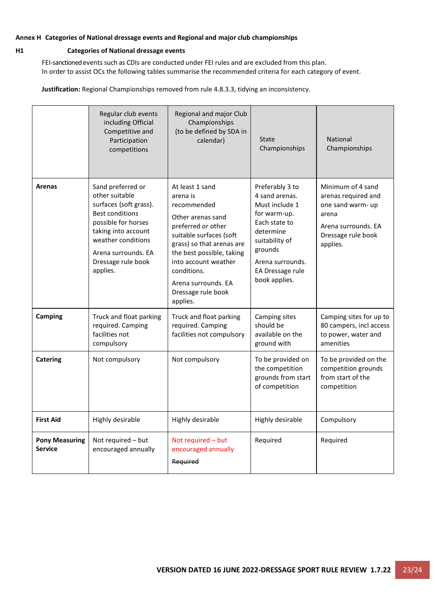## **Annex H Categories of National dressage events and Regional and major club championships**

## **H1 Categories of National dressage events**

FEI-sanctioned events such as CDIs are conducted under FEI rules and are excluded from this plan. In order to assist OCs the following tables summarise the recommended criteria for each category of event.

**Justification:** Regional Championships removed from rule 4.8.3.3, tidying an inconsistency.

|                                         | Regular club events<br>including Official<br>Competitive and<br>Participation<br>competitions                                                                                                                        | Regional and major Club<br>Championships<br>(to be defined by SDA in<br>calendar)                                                                                                                                                                                          | State<br>Championships                                                                                                                                                                  | <b>National</b><br>Championships                                                                                                |
|-----------------------------------------|----------------------------------------------------------------------------------------------------------------------------------------------------------------------------------------------------------------------|----------------------------------------------------------------------------------------------------------------------------------------------------------------------------------------------------------------------------------------------------------------------------|-----------------------------------------------------------------------------------------------------------------------------------------------------------------------------------------|---------------------------------------------------------------------------------------------------------------------------------|
| <b>Arenas</b>                           | Sand preferred or<br>other suitable<br>surfaces (soft grass).<br><b>Best conditions</b><br>possible for horses<br>taking into account<br>weather conditions<br>Arena surrounds. EA<br>Dressage rule book<br>applies. | At least 1 sand<br>arena is<br>recommended<br>Other arenas sand<br>preferred or other<br>suitable surfaces (soft<br>grass) so that arenas are<br>the best possible, taking<br>into account weather<br>conditions.<br>Arena surrounds. EA<br>Dressage rule book<br>applies. | Preferably 3 to<br>4 sand arenas.<br>Must include 1<br>for warm-up.<br>Each state to<br>determine<br>suitability of<br>grounds<br>Arena surrounds.<br>EA Dressage rule<br>book applies. | Minimum of 4 sand<br>arenas required and<br>one sand warm- up<br>arena<br>Arena surrounds. EA<br>Dressage rule book<br>applies. |
| Camping                                 | Truck and float parking<br>required. Camping<br>facilities not<br>compulsory                                                                                                                                         | Truck and float parking<br>required. Camping<br>facilities not compulsory                                                                                                                                                                                                  | Camping sites<br>should be<br>available on the<br>ground with                                                                                                                           | Camping sites for up to<br>80 campers, incl access<br>to power, water and<br>amenities                                          |
| <b>Catering</b>                         | Not compulsory                                                                                                                                                                                                       | Not compulsory                                                                                                                                                                                                                                                             | To be provided on<br>the competition<br>grounds from start<br>of competition                                                                                                            | To be provided on the<br>competition grounds<br>from start of the<br>competition                                                |
| <b>First Aid</b>                        | Highly desirable                                                                                                                                                                                                     | Highly desirable                                                                                                                                                                                                                                                           | Highly desirable                                                                                                                                                                        | Compulsory                                                                                                                      |
| <b>Pony Measuring</b><br><b>Service</b> | Not required - but<br>encouraged annually                                                                                                                                                                            | Not required - but<br>encouraged annually<br>Required                                                                                                                                                                                                                      | Required                                                                                                                                                                                | Required                                                                                                                        |